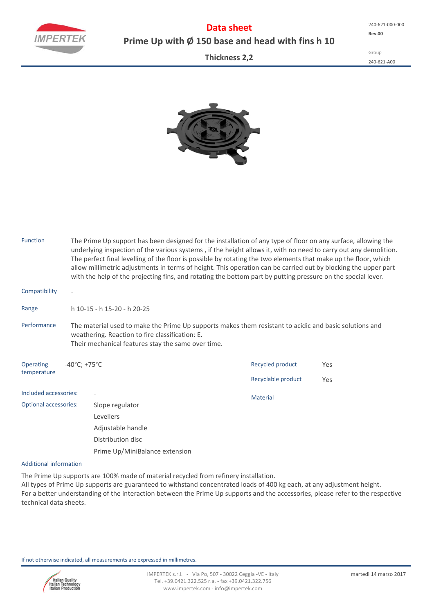**Data sheet Prime Up with Ø 150 base and head with fins h 10**

**Thickness 2,2**

Group 240‐621‐A00



| <b>Function</b>              |                                                                                                                                                                                                                 | The Prime Up support has been designed for the installation of any type of floor on any surface, allowing the<br>underlying inspection of the various systems, if the height allows it, with no need to carry out any demolition.<br>The perfect final levelling of the floor is possible by rotating the two elements that make up the floor, which<br>allow millimetric adjustments in terms of height. This operation can be carried out by blocking the upper part<br>with the help of the projecting fins, and rotating the bottom part by putting pressure on the special lever. |                    |     |  |  |  |  |  |  |
|------------------------------|-----------------------------------------------------------------------------------------------------------------------------------------------------------------------------------------------------------------|----------------------------------------------------------------------------------------------------------------------------------------------------------------------------------------------------------------------------------------------------------------------------------------------------------------------------------------------------------------------------------------------------------------------------------------------------------------------------------------------------------------------------------------------------------------------------------------|--------------------|-----|--|--|--|--|--|--|
| Compatibility                | $\overline{\phantom{a}}$                                                                                                                                                                                        |                                                                                                                                                                                                                                                                                                                                                                                                                                                                                                                                                                                        |                    |     |  |  |  |  |  |  |
| Range                        | h 10-15 - h 15-20 - h 20-25                                                                                                                                                                                     |                                                                                                                                                                                                                                                                                                                                                                                                                                                                                                                                                                                        |                    |     |  |  |  |  |  |  |
| Performance                  | The material used to make the Prime Up supports makes them resistant to acidic and basic solutions and<br>weathering. Reaction to fire classification: E.<br>Their mechanical features stay the same over time. |                                                                                                                                                                                                                                                                                                                                                                                                                                                                                                                                                                                        |                    |     |  |  |  |  |  |  |
| Operating                    | $-40^{\circ}$ C; +75 $^{\circ}$ C                                                                                                                                                                               |                                                                                                                                                                                                                                                                                                                                                                                                                                                                                                                                                                                        | Recycled product   | Yes |  |  |  |  |  |  |
| temperature                  |                                                                                                                                                                                                                 |                                                                                                                                                                                                                                                                                                                                                                                                                                                                                                                                                                                        | Recyclable product | Yes |  |  |  |  |  |  |
| Included accessories:        |                                                                                                                                                                                                                 |                                                                                                                                                                                                                                                                                                                                                                                                                                                                                                                                                                                        | <b>Material</b>    |     |  |  |  |  |  |  |
| <b>Optional accessories:</b> |                                                                                                                                                                                                                 | Slope regulator                                                                                                                                                                                                                                                                                                                                                                                                                                                                                                                                                                        |                    |     |  |  |  |  |  |  |
|                              |                                                                                                                                                                                                                 | Levellers                                                                                                                                                                                                                                                                                                                                                                                                                                                                                                                                                                              |                    |     |  |  |  |  |  |  |
|                              |                                                                                                                                                                                                                 | Adjustable handle<br>Distribution disc                                                                                                                                                                                                                                                                                                                                                                                                                                                                                                                                                 |                    |     |  |  |  |  |  |  |
|                              |                                                                                                                                                                                                                 |                                                                                                                                                                                                                                                                                                                                                                                                                                                                                                                                                                                        |                    |     |  |  |  |  |  |  |
|                              |                                                                                                                                                                                                                 | Prime Up/MiniBalance extension                                                                                                                                                                                                                                                                                                                                                                                                                                                                                                                                                         |                    |     |  |  |  |  |  |  |

## Additional information

The Prime Up supports are 100% made of material recycled from refinery installation.

All types of Prime Up supports are guaranteed to withstand concentrated loads of 400 kg each, at any adjustment height. For a better understanding of the interaction between the Prime Up supports and the accessories, please refer to the respective technical data sheets.

If not otherwise indicated, all measurements are expressed in millimetres.